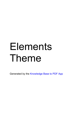# Elements Theme

Generated by the [Knowledge](https://www.zendesk.com/apps/knowledge-base-to-pdf/?source=pdf) Base to PDF App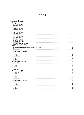| <b>Index</b>                                               |                     |
|------------------------------------------------------------|---------------------|
| <b>Elements Theme</b>                                      | 3                   |
| Changelog                                                  | $\overline{3}$      |
| 12-12-2017 - Update                                        | 3                   |
| 19-06-2019 - Update                                        | 3                   |
| 28-06-2018 - Update                                        | $\overline{4}$      |
| 31-03-2018 - Update                                        | 4                   |
| 21-03-2018 - Update                                        | 4                   |
| 03-02-2018 - Update                                        | $\overline{5}$      |
| 22-01-2018 - Update                                        | $\overline{5}$      |
| 17-01-2018 - Update                                        | $\overline{6}$      |
| 15-05-2019 - Update                                        | 7                   |
| 23-11-2017 - Update                                        | $\overline{7}$      |
| 15-11-2017 - Update                                        | 8                   |
| 02-11-2017 - Update                                        | 8<br>$\overline{8}$ |
| 10-10-2017 - Update<br>06-10-2017 - Launch Theme NA        | $\overline{9}$      |
| 05-10-2017 - Launch Theme EU                               | 9                   |
| 28-08-2017 - Announcement                                  | $\overline{9}$      |
| F.A.Q.                                                     | $\overline{9}$      |
| Is it possible to make the sku appear on the product page? | 10                  |
| Can we lower the amount of page-requests?                  | 10                  |
| Recommanded image sizes                                    | 10                  |
| Documentation (English)                                    | 12                  |
| 5. Elements                                                | 12                  |
| 4. Footer                                                  | 15                  |
| 3. Header                                                  | 15                  |
| 2. Styling                                                 | 16                  |
| 1. Theme                                                   | 18                  |
| Introduction                                               | 20                  |
| Documentation (Dutch)                                      | 20                  |
| 5. Elementen                                               | 20                  |
| 4. Footer                                                  | 24                  |
| 3. Header                                                  | 24                  |
| 2. Styling                                                 | 25                  |
| 1. Thema                                                   | 27                  |
| Introductie                                                | 29                  |
| Documentation (German)                                     | 29                  |
| 5. Elemente                                                | 29                  |
| 4. Footer                                                  | 33                  |
| 3. Header                                                  | 33                  |
| 2. Styling<br>1. Thema                                     | 34<br>36            |
| Einführung                                                 | 38                  |
| Documentation (Francais)                                   | 38                  |
| 5. Éléments                                                | 38                  |
| 4. Footer                                                  | 42                  |
| 3. Header                                                  | 42                  |
| 2. Style                                                   | 43                  |
| 1. Thème                                                   | 45                  |
| Introduction                                               | 47                  |
|                                                            |                     |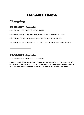## Elements Theme

### <span id="page-2-1"></span><span id="page-2-0"></span>Changelog

### <span id="page-2-2"></span>12-12-2017 - Update

Last updated: 2017-12-12T15:25:22.000Z |Online [Version](https://crivex.zendesk.com/hc/en-us/articles/115004326473-12-12-2017-Update)

- Fix a delivery track bug causing out of stock products to display an unknown delivery time.
- Fix of a bug on the productpage where the specification tab was hidden automatically

- Fix of a bug on the productpage where the specification title was muted and a / would appear in front.

### <span id="page-2-3"></span>19-06-2019 - Update

Last updated: 2019-06-19T12:41:48.000Z | Online [Version](https://crivex.zendesk.com/hc/en-us/articles/360025103853-19-06-2019-Update)

- When you activated discount codes in your Lightspeed eCom dashboard a link will now appear when the cart popup is clicked. It says "discount code?" with a direct link to the Lightspeed cart page instead of redirecting to the checkout page where the possibility to insert a discount code is not given anymore.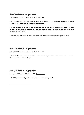### <span id="page-3-0"></span>28-06-2018 - Update

Last updated: 2018-06-28T18:13:00.000Z | Online [Version](https://crivex.zendesk.com/hc/en-us/articles/360006333594-28-06-2018-Update)

- Due to changes in Safari, our menu structure for more than 8 was not correctly displayed. To make it work again we decided to restructure the whole navigation.

The subcategories are now not loaded dynamically in 4 columns but divided over 25% width. This might influence the navigation for some shops. For a good layout, rearrange the subcategories in a way that the least whitespace is shown.

For rearranging go to your categories and than click on the button at the top "rearrange categories".

### <span id="page-3-1"></span>31-03-2018 - Update

Last updated: 2018-03-31T06:57:57.000Z |Online [Version](https://crivex.zendesk.com/hc/en-us/articles/360002591333-31-03-2018-Update)

- Update to the newsletter code. Form had an issue submitting correctly. This is due to an class ID switch. Now the form submits correctly again.

### <span id="page-3-2"></span>21-03-2018 - Update

Last updated: 2018-03-21T01:18:49.000Z |Online [Version](https://crivex.zendesk.com/hc/en-us/articles/360002190434-21-03-2018-Update)

- The H2 tag on the catalog and collection pages have now changes to H1.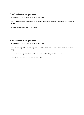### <span id="page-4-0"></span>03-02-2018 - Update

Last updated: 2018-02-03T18:09:01.000Z | Online [Version](https://crivex.zendesk.com/hc/en-us/articles/360000650034-03-02-2018-Update)

- Fixing a displaying error of all brands on the brands page. From {{ brand in shop.brands }} to {{ brand in brands }}.

- Fix of a menu displaying error on NA server

### <span id="page-4-1"></span>22-01-2018 - Update

Last updated: 2018-01-22T22:14:03.000Z |Online [Version](https://crivex.zendesk.com/hc/en-us/articles/360000236273-22-01-2018-Update)

- Fixing the cart bug on the product page when a product is added but needed to stay on same page after adding.

- A new temporary image placeholder on the productpage when the product has no image.

- Banner 1 adjusted heigth on mobile devices on NA server.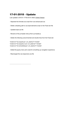### <span id="page-5-0"></span>17-01-2018 - Update

Last updated: 2018-01-17T00:34:01.000Z | Online [Version](https://crivex.zendesk.com/hc/en-us/articles/360000076793-17-01-2018-Update)

- Seperate the Animate.css script from css-owlcarousel.css
- Delete unleading path to css-style-elements script on the Fixed.rain file
- Updated style.css file
- Rename of the js-header-click.js file to js-header.js
- Delete the following outcommented and double lines from the Fixed.rain

<script src="{{ 'js-jquery.js' | url\_asset }}"></script> <script src="{{ 'js-jquery-ui.js' | url\_asset }}"></script> <script src="{{ 'js-bootstrap.js' | url\_asset }}"></script>

- Added the jquery-menu-aim script for smoothing up navigation experience.
- Rearranged the css-responsive.css file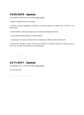### <span id="page-6-0"></span>15-05-2019 - Update

Last updated: 2019-05-15T14:43:58.000Z |Online [Version](https://crivex.zendesk.com/hc/en-us/articles/360022948334-15-05-2019-Update)

- Updated Translation issues in the header

- If there's no popular suggestions mentioned in the theme settings, the header won't be shown in the search popup.

- Product bundles on the product pages are now updated and displayed correctly.

- In cart button formatting change for mobile viewports

- In cart popup now shows a trashcan button so customers can delete a product from the cart.

- When on the cart page on mobile. There was no possibility to change the quantity. This was due to an js error in the core files. This should now be possible again.

### <span id="page-6-1"></span>23-11-2017 - Update

Last updated: 2017-11-23T15:49:35.000Z |Online [Version](https://crivex.zendesk.com/hc/en-us/articles/115003868834-23-11-2017-Update)

Fix of the USP links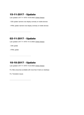### <span id="page-7-0"></span>15-11-2017 - Update

Last updated: 2017-11-16T01:16:54.000Z | Online [Version](https://crivex.zendesk.com/hc/en-us/articles/115003652133-15-11-2017-Update)

- CSS update: banners now display correctly on mobile devices
- HTML update: banners now display correctly on mobile devices

### <span id="page-7-1"></span>02-11-2017 - Update

Last updated: 2017-11-16T01:15:12.000Z | Online [Version](https://crivex.zendesk.com/hc/en-us/articles/115003669894-02-11-2017-Update)

- CSS update
- HTML update

### <span id="page-7-2"></span>10-10-2017 - Update

Last updated: 2017-11-16T01:14:23.000Z |Online [Version](https://crivex.zendesk.com/hc/en-us/articles/115003652113-10-10-2017-Update)

Fix: Menu becomes scrollable with more than 5 items on desktops

Fix: Translation issues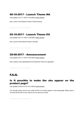### <span id="page-8-0"></span>06-10-2017 - Launch Theme NA

Last updated: 2017-11-16T01:12:53.000Z | Online [Version](https://crivex.zendesk.com/hc/en-us/articles/115003669874-06-10-2017-Launch-Theme-NA)

New: Launch of the Element Theme in North America!

### <span id="page-8-1"></span>05-10-2017 - Launch Theme EU

Last updated: 2017-11-16T01:11:59.000Z | Online [Version](https://crivex.zendesk.com/hc/en-us/articles/115003652093-05-10-2017-Launch-Theme-EU)

New: Launch of the Element Theme in Europe!

### <span id="page-8-2"></span>28-08-2017 - Announcement

Last updated: 2017-11-16T01:10:55.000Z |Online [Version](https://crivex.zendesk.com/hc/en-us/articles/115003652073--28-08-2017-Announcement)

New: creation of the saleswebsite for the Elements Theme for Lightspeed

### <span id="page-8-3"></span>F.A.Q.

### <span id="page-8-4"></span>Is it possible to make the sku appear on the product page?

Last updated: 2018-03-21T01:33:13.000Z | Online [Version](https://crivex.zendesk.com/hc/en-us/articles/360002192113-Is-it-possible-to-make-the-sku-appear-on-the-product-page-)

Yes, through custom work we can make the SKU of a product appear on the productpage. Please send in an email with the URL to your shop so we can send you a quote.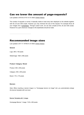### <span id="page-9-0"></span>Can we lower the amount of page-requests?

Last updated: 2018-03-21T01:31:51.000Z | Online [Version](https://crivex.zendesk.com/hc/en-us/articles/360002190634-Can-we-lower-the-amount-of-page-requests-)

The number of requests is normal. It basically needs to load every item displayed on the website together with the JS and CSS scripts. However you may minimize the size of the request. For example throw all your images into a [compressor.](http://compressjpeg.com/) Through custom work, we can also compile all the JS and CSS scripts. However it's a pain whenever changes to the stylesheets should be made.

<span id="page-9-1"></span>Recommanded image sizes

Last updated: 2017-11-16T08:31:27.000Z |Online [Version](https://crivex.zendesk.com/hc/en-us/articles/115003678854-Recommanded-image-sizes)

**General**

Logo: 290 x 100 pixels

Sliderimage: 1920 x 580 pixels

### **Product / Category / Brand**

Product: 450 x 450 pixels

Category: 450 x 450 pixels

Brand: 170 x 170 pixels

#### **Banners**

*Note: When inserting a banner image in a "homepage banner (x) image" slot, you automatically enlarge the banner template with one level.*

**Banner Template with 1 image:** 

Homepage Banner 1 image: 1140 x 450 pixels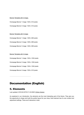#### Banner Template with 2 image:

Homepage Banner 1 image: 1024 x 512 pixels Homepage Banner 2 image: 1024 x 512 pixels

Banner Template with 3 image:

Homepage Banner 1 image: 1200 x 800 pixels Homepage Banner 2 image: 1200 x 800 pixels Homepage Banner 3 image: 1200 x 800 pixels

Banner Template with 4 image: Homepage Banner 1 image: 1024 x 1024 pixels Homepage Banner 2 image: 1024 x 1024 pixels Homepage Banner 3 image: 1024 x 1024 pixels Homepage Banner 4 image: 1024 x 512 pixels

### <span id="page-10-0"></span>Documentation (English)

### <span id="page-10-1"></span>5. Elements

Last updated: 2018-04-03T23:11:43.000Z | Online [Version](https://crivex.zendesk.com/hc/en-us/articles/360002684254-5-Elements)

As explained in our introduction, the elements are the most interesting part of the theme. They give you the opportunity to shape and build the perfect layout for your shop. Each element has it's own content and adjustment settings. There are 8 elements in total: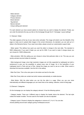- ‐ Slider element
- ‐ Category element
- ‐ Product element
- ‐ Brand element
- ‐ Tag element
- ‐ Banner element
- ‐ Unique selling point element

For each element you have several options to choose how you want to display the element. Finally, you can order the elements the way you like on the homepage through the 6.1 Hompage / Layout settings!

#### 5.1 Element / Slider

The slider appears at the top of your store when activated. The image will stretch over the fullwidth of the page so make sure to upload slide images in the correct dimensions. As standard, you can add up to 3 slides in the Elements theme. If you need more slides, please consult our customization support desk.

‐ Slider speed: This defines how quick you want the slider to change to the next slide. The standard is 5000 milliseconds. If you want it faster you can opt for 2500. If you want to make it change slower you can choose for 10000 milliseconds.

‐ Slide activation: With this setting you can choose to show that particular slide or not. This way you can quickly activate recurrent slides for example.

‐ Slide background image: since high resolution images are not fully supported by Lightspeed we build a workaround to give you the possibility to upload every size of image. Go in the backoffice of your Lightspeed store to Tools and go to Files. Upload the image you want to use as a slide. When saved a download link becomes available. Use this link in the setting.

‐ Slide Text Color: This is the color given to the button and text for the slide.

‐ Slide Text: Every slide can contain text which resizes automatically on mobile devices

‐ Slide Button: With the slide button you can link the slide to a page. When you use your store internationally and different languages you can insert links to the catalog, collection, brand of blog page.

#### 5.2 Element / Categories

On the homepage you can display the category element. It has the following options:

‐ Category header: There are 4 different ways to display the header above the element. The last style makes the header invisible. The text used for the header can also be adjusted

‐ Category Layout: Choose to display the categories in columns of 3, 4 or 6. You can also choose padding around each category giving it whitespace around.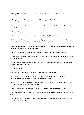‐ Category Style: Change the appearance of the categories by picking one of 4 styles to choose from.

‐ Category Border style: Every element can have 3 border options. No border, a lined border or a border with shadow around.

‐ Category Hover effect: When hovering over the element a responsive effect can occur. Choose between 15 great effects for all elements.

5.3 Element / Products

On the homepage you can display the product element. It has the following options:

‐ Product header: There are 4 different ways to display the header above the element. The last style makes the header invisible. The text used for the header can also be adjusted

‐ Product Layout: Choose to display the products in columns of 3, 4 or 6. You can also choose padding around each element giving it whitespace around.

‐ Product Style: Change the appearance of the products by picking one of 3 styles to choose from.

‐ Product Border style: Every element can have 3 border options. No border, a lined border or a border with shadow around.

‐ Product Hover effect: When hovering over the element a responsive effect can occur. Choose between 15 great effects for all elements.

5.4 Element / Brands

On the homepage you can display the brand element. It has the following options:

‐ Brand header: There are 4 different ways to display the header above the element. The last style makes the header invisible. The text used for the header can also be adjusted

‐ Brand Layout: Choose to display the brands in columns of 3, 4, 6 or 10. You can also choose padding around each element giving it whitespace around.

‐ Brand Style: Change the appearance of the categories by picking one of 4 styles to choose from.

‐ Brand Border style: Every element can have 3 border options. No border, a lined border or a border with shadow around.

‐ Brand Hover effect: When hovering over the element a responsive effect can occur. Choose between 15 great effects for all elements.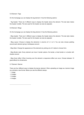5.5 Element / Tags

On the homepage you can display the tag element. It has the following options:

‐ Tag header: There are 4 different ways to display the header above the element. The last style makes the header invisible. The text used for the header can also be adjusted.

5.6 Element / Blogs

On the homepage you can display the blog element. It has the following options:

‐ Blog header: There are 4 different ways to display the header above the element. The last style makes the header invisible. The text used for the header can also be adjusted

‐ Blog Layout: Choose to display the elements in columns of 3, 4 or 6. You can also choose padding around each element giving it whitespace around.

‐ Blog Style: Change the appearance of the elements by picking one of 4 styles to choose from.

‐ Blog Border style: Every element can have 3 border options. No border, a lined border or a border with shadow around.

‐ Blog Hover effect: When hovering over the element a responsive effect can occur. Choose between 15 great effects for all elements.

#### 5.7 Element / Banner

There are four different ways to display the banner element. When uploading an image as a banner image you activate a new format. Below you see the different setups:

- ‐ 1 image
- ‐ 2 images
- ‐ 3 images
- ‐ 4 images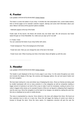### <span id="page-14-0"></span>4. Footer

Last updated: 2018-04-03T22:59:49.000Z | Online [Version](https://crivex.zendesk.com/hc/en-us/articles/360002684034-4-Footer)

The footer is covers the bottom of your shop. It includes the mail subscription form, social media buttons, links to formal pages as for example customer support, sitemap and some brief information about your store. Below it will show all the payment options available.

‐ Hallmarks appear at the top of the footer.

Footer style: At the launch, the theme will include only one footer style. We will announce new footer styles through our Crivex Newsletter. So, make sure you sign up for it as well!

4.1 Footer / Color You can customize the footer of your shop further with colors.

‐ Footer background: This is the background of the footer

‐ Footer text color: Here you can change the color of the text in the footer

‐ Footer hover color: When hovering over links in the footer, these will lighten up with this color.

### <span id="page-14-1"></span>3. Header

Last updated: 2018-04-03T22:53:54.000Z | Online [Version](https://crivex.zendesk.com/hc/en-us/articles/360002704133-3-Header)

The header is part displayed at the top of every page in your shop. It is the same throughout your store and includes the display of the logo, the currency and language options, the cart and search button and the main navigation.

We have been looking for a new and slicker way of displaying the menu. Since our themes are being used by smaller businesses with not so many products in a few categories as well as companies needing a bigger amount of submenu's we had to find a way to make it work for everybody. Looking at some of our nation's biggest online stores as for example Amazon of Bol.com we figured a collapsing fixed megamenu was the way to go. Since the navigation is at the heart of our designs, we started by making this work first. Not only on desktops but as well on mobile devices.

The menu is represented by a big bar. Once clicked on, the menu will collapse from there. We found out that customers love to click on a menu bar. Since this will trigger the feeling of control over where to browse to through the store. Once the menu opens, it's megamenu structure will give the user the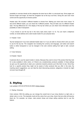possibility to overview directly all the categories the store has to offer in a structured way. Since pages can become longer and longer, we fixed the navigation bar at the top at all time. Giving the user even more control and the opportunity to browse quicker.

Header style: We included 4 different headers to choose from. Making your store even more unique. To see all the different styles, you can check the 4 different presets. They all make use of a different header style. The big differences lie in the display of the top bar where you can share more information and the possibility to make it transparent.

‐ If you choose to use the top bar in the menu style (menu style 3 or 4). You can insert a telephone number, an email address and a store locator button for your physical store.

3.1 Header / Color

Top bar background: If you have selected header style 3 or 4 you are able to choose which color you want to use for the top bar. The navigation bar including the currency and language, cart button and search button is either transparent or can be changed in the color scheme setting from light or dark. (consult setting

2.1 Color Scheme)

#### 3.2 Header / Search

Customers like to use the search button in stores. Because they want to know if the product that they look for is also available in other colors, or if there's any complementary products available. In these settings we give you the opportunity to steer your customers towards products you'd like them to see. Since they look for a specific product they might not be aware of other products that you offer in the store. By inserting search suggestions, you can help the client discovering products, categories or brands he might not even have thought off.

<span id="page-15-0"></span>2. Styling

Last updated: 2018-04-03T00:54:25.000Z | Online [Version](https://crivex.zendesk.com/hc/en-us/articles/360002651074-2-Styling)

#### 2.1 Styling / Schemes

Color scheme: With this setting you can change the overall look of your shop directly to a light color, a darker color or a mix. This basically inverts all the colors from your shop. Area's that are white will become black etc. For example, car shops, male product shops and shops selling watches tend to use this feature.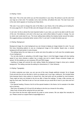#### 2.2 Styling / Colors

Main color: This is the color which you can find everywhere in your shop. We advise to use the color from your logo as a main color. For example, icons, bars and links, will adhere this color. The main hover color is the color which appears on hovering over these items.

Title color: If you want to change the color of the titles in your theme, this is the setting you're looking for. On every page the H1, H2 and H3 title color will change to the color you define here.

In cart color: As this is almost the most important button in your store, you want to be able to edit the color of this one. One believes a red color is the way to go, some others believe it's green or orange. You can try which color works best for you. The hover setting below defines the shadow border around the button. We suggest picking a somewhat darker version of the "in cart color" to make the button pop out.

### 2.3 Styling / Background

Background image: As a main background you can choose to display an image instead of a color. You can find many interesting patterns to use as a background image on this website. Speed wise, a colored background will load quicker in every browser.

‐ The settings below this one helps you to center and clone the pattern so it will cover the complete space of your background.

‐ You can also decide on uploading a full‐width image. Keep in mind that bigger images will slow loading speed of your store whereas a pattern has a smaller size and is copied. Always compress images you upload. On this website you can compress JPG and PNG images.

‐ Inserting an image will overrule the color setting. Delete the background image to show just a colored background. This setting overrules the setting for colorscheme (2.1 Color Scheme).

### 2.4 Styling / Typography

To further customize your store, you can use one of the many Google webfonts included. Go to Google Fonts and pick the one you like best or which you already use in your logo, mailing etc. We included these fonts because there's many options to choose from, they load quick and are accepted by most browsers. There might be fonts not included to the list we offer in these font settings. To keep a little overview, we kept the most used. Feel free to ask us if we can include one you would like to have in your store and isn't in the list.

‐ Font Special heading: Choose a font for all the special headers in the theme. As for example in the slider and on banners.

‐ Title Fonts: All headers (H1,H2 and H3) will adhere to the font you choose for this setting.

‐ Body Fonts: All text will be using the font you pick here.

For some fonts the font-size might become too small on some screens. We can adjust this manually for you. Please consult our support desk at support@crivex.nl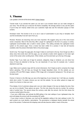### <span id="page-17-0"></span>1. Theme

Last updated: 2018-04-03T00:39:02.000Z |Online [Version](https://crivex.zendesk.com/hc/en-us/articles/360002664773-1-Theme)

Tutorial mode: If you activate this option you can see in your browser where you can make changes to your shop. This will help you to discover the theme completely. We strongly advise to only use this option if you're shop isn't heavily visited since your customers might also see the instruction popups on their screens.

Developer mode: This function is for us to use in case of customization to your shop or template. Don't use this functionality if we don't ask it from you.

Reviews: Reviews are becoming more and more important. We suggest using one of the more known review companies. Most of the time they offer a plugin for Lightspeed in the form of a popup or overlay. Lightspeed accommodates also a build-in review system. This setting activates the Lightspeed review system on the product page. Once a review has been written for a product. A new tab will become available under the product information field on the product page.

Scroll to top: The longer the page gets, the longer it takes to scroll back to the top. Even though we offer a sticky menu that scrolls down with the page, you can activate a button which appears on the lower right corner of the screen when scrolling down. When clicked, you'll be send back up to the top of the page.

Number Tags: If you make use of tags for products, categories, blogs or whatever, you can show how many of those are attached to that tag. You can deactivate it if you have for example only 1 product attached to each tag.

Logo: Make sure to upload a logo with the correct dimensions. Don't forget as well to compress the image before uploading. This will help you through the Google Speedtest check. On this website you can compress JPG and PNG images. Upload a PNG image with a transparent background. This will give you the best result.

Favicon: A favicon is the little logo you see at the beginning of your browser bar. It will help you visualize which site is which. To create a favicon you can visit this website. You can either upload an image and resize it to a favicon or draw your own.

Price display: A lot of customers always ask is we can make changes in the way we display the price. Now you can do so directly! Three options are given. The first only shows the price by number. No currency code of symbol here. The second shows the currency code after the amount. And the third shows the currency symbol before the price.

‐ If you own a B2B shop, and activate the B2B setting in the main settings of your Lightspeed shop, the price will display the amount with the excluding VAT prefix.

‐ If your shop is active in Germany, you must set the legislation setting in the main settings to strict. For each product you must identify a groundprice. The groundprice is displayed directly beneath the actual price of the product. Furthermore the shipping costs will also become visible in reach of the price.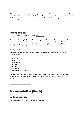Sale ribbon: We understand you want every product on sale to be seen. Therefore, we created two different sale ribbons to choose from. The first covers the corner as a real ribbon does including some nice shadow effects. The second one looks more like a round stamp in the upper righthand corner. Of course you can also change the color to match your sale style.

### <span id="page-18-0"></span>Introduction

Last updated: 2017-11-16T01:20:18.000Z |Online [Version](https://crivex.zendesk.com/hc/en-us/articles/115003652153-Introduction)

Thank you for installing the Elements Theme for Lightspeed E‐commerce. This is our 3rd theme for this platform and we used all our past experiences and knowledge to create the perfect experience for you as a shop owner as for your clients. We've written this guide to help you make full use of the theme. Please let us know if you encounter any problems. We're glad to help you out.

The Elements Theme is our first theme where you can customize the complete homepage of your shop. As the name for the theme reveals, this template is build up in ELEMENTS. There are 8 elements in total:

- ‐ Slider element
- ‐ Category element
- ‐ Product element
- ‐ Brand element
- ‐ Tag element
- ‐ Banner element
- ‐ Unique selling point element

For each element you have several options to choose how you want to display the element. Finally, you can order the elements the way you like on the homepage through the 6.1 Hompage / Layout settings!

### <span id="page-18-1"></span>Documentation (Dutch)

### <span id="page-18-2"></span>5. Elementen

Last updated: 2018-04-03T23:12:35.000Z |Online [Version](https://crivex.zendesk.com/hc/en-us/articles/360002704413-5-Elementen)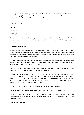Zoals uitgelegd in onze inleiding, vormen de elementen het meest interessante deel van het thema. Ze bieden u de mogelijkheid om de perfecte lay-out voor uw winkel vorm te geven en te bouwen. Elk element heeft zijn eigen instellingen voor inhoud en aanpassing. Er zijn in totaal 8 elementen:

- Schuifelement
- Categorie-element
- Productelement
- Merkelement
- Tag element
- Bannerelement
- Uniek verkooppuntelement

Voor elk element hebt u verschillende opties om te kiezen hoe u het element wilt weergeven. Ten slotte kunt u de elementen zoals u dat wilt op de homepagina bestellen via de 6.1 Hompage / Layoutinstellingen!

#### 5.1 Element / schuifregelaar

De schuifregelaar verschijnt bovenaan uw winkel wanneer deze is geactiveerd. De afbeelding wordt over de hele breedte van de pagina uitgerekt, dus zorg ervoor dat u dia's in de juiste afmetingen uploadt. Standaard kunt u maximaal 3 dia's toevoegen in het thema Elements. Als u meer dia's nodig heeft, raadpleegt u onze aanpassingsondersteuning.

- Schuifsnelheid: dit bepaalt hoe snel je wilt dat de schuifregelaar naar de volgende dia gaat. De standaard is 5000 milliseconden. Als je het sneller wilt, kun je kiezen voor 2500. Als je het langzamer wilt laten veranderen, kun je kiezen voor 10000 milliseconden.

- Dia-activering: met deze instelling kunt u ervoor kiezen om die specifieke dia te laten zien of niet. Op deze manier kunt u terugkerende dia's bijvoorbeeld snel activeren.

- Schuif achtergrondafbeelding: aangezien afbeeldingen met een hoge resolutie niet volledig worden ondersteund door Lightspeed, bouwen we een oplossing om u de mogelijkheid te geven om elke beeldgrootte te uploaden. Ga in de backoffice van uw Lightspeed-winkel naar Tools en ga naar Bestanden. Upload de afbeelding die u als dia wilt gebruiken. Wanneer opgeslagen, wordt een downloadlink beschikbaar. Gebruik deze link in de instelling.

- Slide Text Color: dit is de kleur die wordt gegeven aan de knop en tekst voor de dia.

- Tekst dia: elke dia kan tekst bevatten die automatisch wordt aangepast op mobiele apparaten

- Schuifknop: met de schuifknop kunt u de dia aan een pagina koppelen. Wanneer u uw winkel internationaal en in verschillende talen gebruikt, kunt u links naar de catalogus, verzameling, merk van de blogpagina invoegen.

5.2 Element / categorieën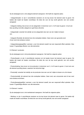Op de startpagina kunt u het categorie-element weergeven. Het heeft de volgende opties:

- Categorieheader: er zijn 4 verschillende manieren om de kop boven het element weer te geven. De laatste stijl maakt de header onzichtbaar. De tekst die voor de kop wordt gebruikt, kan ook worden aangepast

- Categorie-indeling: kies ervoor om de categorieën in kolommen van 3, 4 of 6 weer te geven. U kunt ook kies opvulling rond elke categorie en geef deze witruimte.

- Categoriestijl: verander het uiterlijk van de categorieën door een van de 4 stijlen te kiezen van.

- Categorie Randstijl: elk element kan drie randopties hebben. Geen rand, een gevoerde rand of een rand met schaduw rondom.

- Categoriebewegingseffect: wanneer u over het element zweeft, kan een responsief effect optreden. Kies tussen 15 geweldige effecten voor alle elementen.

#### 5.3 Element / producten

Op de startpagina kunt u het productelement weergeven. Het heeft de volgende opties:

- Productheader: er zijn 4 verschillende manieren om de header boven het element weer te geven. De laatste stijl maakt de header onzichtbaar. De tekst die voor de kop wordt gebruikt, kan ook worden aangepast

- Productindeling: kies ervoor om de producten in kolommen van 3, 4 of 6 weer te geven. U kunt ook voor elk element opvulling kiezen, waardoor het witruimte krijgt.

- Productstijl: verander het uiterlijk van de producten door een van de 3 stijlen te kiezen om uit te kiezen.

- Productrandstijl: elk element kan drie randopties hebben. Geen rand, een omzoomde rand of een rand met schaduw eromheen.

- Productbewegingseffect: wanneer u over het element zweeft, kan een responsief effect optreden. Kies tussen 15 geweldige effecten voor alle elementen.

#### 5.4 Element / merken

Op de startpagina kunt u het merkelement weergeven. Het heeft de volgende opties:

- Merkkop: er zijn 4 verschillende manieren om de kop boven het element weer te geven. De laatste stijl maakt de header onzichtbaar. De tekst die voor de kop wordt gebruikt, kan ook worden aangepast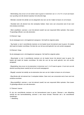- Merkindeling: kies ervoor om de merken weer te geven in kolommen van 3, 4, 6 of 10. U kunt ook kiezen voor opvulling rond elk element waardoor het witruimte krijgt.

- Merkstijl: verander het uiterlijk van de categorieën door een van de 4 stijlen te kiezen om uit te kiezen.

- Randstijl merk: elk element kan drie randopties hebben. Geen rand, een omzoomde rand of een rand met schaduw eromheen.

- Merk zweefteken: wanneer u over het element zweeft, kan een responsief effect optreden. Kies tussen 15 geweldige effecten voor alle elementen.

#### 5.5 Element / tags

Op de startpagina kunt u het tagelement weergeven. Het heeft de volgende opties:

- Tag header: er zijn 4 verschillende manieren om de header boven het element weer te geven. De laatste stijl maakt de header onzichtbaar. De tekst die voor de kop wordt gebruikt, kan ook worden aangepast.

#### 5.6 Element / blogs

Op de startpagina kunt u het blogelement weergeven. Het heeft de volgende opties:

- Blog-header: er zijn 4 verschillende manieren om de header boven het element weer te geven. De laatste stijl maakt de header onzichtbaar. De tekst die voor de kop wordt gebruikt, kan ook worden aangepast

- Blogindeling: kies ervoor om de elementen in kolommen van 3, 4 of 6 weer te geven. U kunt ook voor elk element opvulling kiezen waarbij het wit rond wordt weergegeven.

- Blogstijl: verander het uiterlijk van de elementen door een van de 4 stijlen te kiezen om uit te kiezen.

- Blog Border-stijl: elk element kan 3 randopties hebben. Geen rand, een omzoomde rand of een rand met schaduw eromheen.

- Blog-zweefeffect: wanneer u over het element zweeft, kan een responsief effect optreden. Kies tussen 15 geweldige effecten voor alle elementen.

#### 5.7 Element / banner

Er zijn vier verschillende manieren om het bannerelement weer te geven. Wanneer u een afbeelding uploadt als een bannerafbeelding, activeert u een nieuw formaat. Hieronder ziet u de verschillende opstellingen:

- 1 afbeelding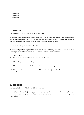- 2 afbeeldingen
- 3 afbeeldingen
- 4 afbeeldingen

### <span id="page-22-0"></span>4. Footer

Last updated: 2018-04-03T23:00:25.000Z |Online [Version](https://crivex.zendesk.com/hc/en-us/articles/360002684054-4-Footer)

De voettekst bedekt de onderkant van uw winkel. Het bevat het e-mailabonnement, social-mediaknoppen, links naar formele pagina's zoals bijvoorbeeld klantenondersteuning, sitemap en enkele korte informatie over uw winkel. Hieronder worden alle beschikbare betalingsopties weergegeven.

- Keurmerken verschijnen bovenaan het voettekst.

Voettekststijl: bij de lancering bevat het thema slechts één voettekststijl. We zullen nieuwe footer-stijlen aankondigen via onze Crivex-nieuwsbrief. Dus zorg ervoor dat u zich ook aanmeldt!

4.1 Voettekst / kleur U kunt de voettekst van uw winkel verder aanpassen met kleuren.

- Voettekstachtergrond: dit is de achtergrond van het voettekst

- Tekstkleur voettekst: hier kunt u de kleur van de tekst in de voettekst wijzigen

- Voettekst zweeftekleur: wanneer deze over de links in het voettekstje zweeft, zullen deze met deze kleur lichter worden.

<span id="page-22-1"></span>3. Header

Last updated: 2018-04-03T22:54:30.000Z |Online [Version](https://crivex.zendesk.com/hc/en-us/articles/360002683914-3-Header)

De koptekst wordt gedeeltelijk weergegeven bovenaan elke pagina in uw winkel. Het is hetzelfde in uw winkel en omvat de weergave van het logo, de valuta- en taalopties, de winkelwagen- en zoekknop en de hoofdnavigatie.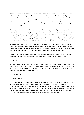We zijn op zoek naar een nieuwe en betere manier om het menu te tonen. Omdat onze thema's worden gebruikt door kleinere bedrijven met niet zo veel producten in een paar categorieën en bedrijven die een groter aantal submenu's nodig hebben, moesten we een manier vinden om het voor iedereen te laten werken. Kijkend naar enkele van de grootste online winkels van ons land, zoals bijvoorbeeld Amazon of Bol.com, dachten we dat een instortende vaste megamenu de juiste keuze was. Omdat de navigatie de kern vormt van onze ontwerpen, zijn we begonnen met dit werk eerst te maken. Niet alleen op desktops, maar ook op mobiele apparaten.

Het menu wordt weergegeven door een grote balk. Eenmaal erop geklikt klapt het menu vanaf daar in. We ontdekten dat klanten graag op een menubalk klikken. Omdat dit het gevoel van controle over waar te bladeren naar door de winkel zal triggeren. Zodra het menu wordt geopend, geeft de megamenu-structuur de gebruiker de mogelijkheid om alle categorieën die de winkel op een gestructureerde manier te bieden heeft direct te bekijken. Omdat pagina's steeds langer kunnen worden, hebben we de navigatiebalk bovenaan altijd gefixt. De gebruiker nog meer controle en de mogelijkheid om sneller te bladeren.

Headerstijl: we hebben vier verschillende headers gekozen om uit te kiezen. Uw winkel nog unieker maken. Om alle verschillende stijlen te bekijken, kunt u de 4 verschillende presets bekijken. Ze maken allemaal gebruik van een andere headerstijl. De grote verschillen liggen in de weergave van de bovenste balk waar u meer informatie kunt delen en de mogelijkheid om deze transparant te maken.

- Als u ervoor kiest om de bovenste balk in de menustijl te gebruiken (menustijl 3 of 4). U kunt een telefoonnummer, een e-mailadres en een store locator-knop invoegen voor uw fysieke winkel.

#### 3.1 Kop / Kleur

Bovenste balkachtergrond: als u kopstijl 3 of 4 hebt geselecteerd, kunt u kiezen welke kleur u wilt gebruiken voor de bovenste balk. De navigatiebalk inclusief de valuta en taal, de knop voor het winkelwagentje en de zoekknop is transparant of kan in de instelling voor het kleurschema worden gewijzigd in licht of donker. (raadpleeg instelling

#### 2.1 Kleurenschema)

#### 3.2 Header / Zoeken

Klanten gebruiken de zoekknop graag in winkels. Omdat ze willen weten of het product waarnaar ze op zoek zijn ook in andere kleuren beschikbaar is of dat er aanvullende producten beschikbaar zijn. In deze instellingen bieden we u de mogelijkheid uw klanten te sturen naar producten die u graag zou zien. Omdat ze op zoek zijn naar een specifiek product, zijn ze misschien niet op de hoogte van andere producten die u in de winkel aanbiedt. Door zoeksuggesties in te voegen, kunt u de klant helpen bij het ontdekken van producten, categorieën of merken waarvan hij misschien niet eens heeft nagedacht.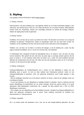### <span id="page-24-0"></span>2. Styling

Last updated: 2018-04-03T00:55:41.000Z | Online [Version](https://crivex.zendesk.com/hc/en-us/articles/360002664893-2-Styling)

#### 2.1 Styling / schema's

Kleurenschema: met deze instelling kunt u het algehele uiterlijk van uw winkel rechtstreeks wijzigen in een lichte kleur, een donkere kleur of een mix. Dit in feite alle kleuren van uw winkel inverteert. Witte gebieden worden zwart enz. Autohinkels, winkels voor mannelijke producten en winkels die horloges verkopen, hebben de neiging deze functie te gebruiken.

#### 2.2 Styling / kleuren

Hoofdkleur: Dit is de kleur die je overal in je winkel kunt vinden. We adviseren om de kleur van uw logo als hoofdkleur te gebruiken. Pictogrammen, balken en koppelingen zullen zich aan deze kleur houden. De hoofdkleur van de zweeftekst is de kleur die bij het zweven boven deze items wordt weergegeven.

Titelkleur: als u de kleur van de titels in uw thema wilt wijzigen, is dit de instelling die u zoekt. Op elke pagina verandert de titelkleur van H1, H2 en H3 in de kleur die u hier definieert.

In winkelwagen kleur: Aangezien dit bijna de belangrijkste knop in uw winkel is, wilt u de kleur van deze kunnen bewerken. Men gelooft dat een rode kleur de juiste weg is, sommige anderen geloven dat het groen of oranje is. U kunt proberen welke kleur het beste voor u werkt. De hover-instelling hieronder definieert de schaduwrand rond de knop. We raden aan een iets donkerdere versie van de 'in cart-kleur' te kiezen om de knop eruit te laten springen.

#### 2.3 Styling / achtergrond

Achtergrondafbeelding: als hoofdachtergrond kunt u kiezen om een afbeelding in plaats van een afbeelding weer te geven. Je kunt op deze website veel interessante patronen vinden om als achtergrondafbeelding te gebruiken. Snel, een gekleurde achtergrond wordt sneller geladen in elke browser.

- Met de instellingen hieronder kun je het patroon centreren en klonen, zodat het de volledige ruimte van je achtergrond bedekt.

- U kunt ook beslissen om een afbeelding op volledige breedte te uploaden. Houd er rekening mee dat grotere afbeeldingen de laadsnelheid van uw winkel vertragen, terwijl een patroon kleiner is en wordt gekopieerd. Altijd afbeeldingen comprimeren die u uploadt. Op deze website kunt u JPG- en PNGafbeeldingen comprimeren.

- Het invoegen van een afbeelding zal de kleurinstelling overrulen. Verwijder de achtergrondafbeelding om alleen een gekleurde achtergrond weer te geven. Deze instelling overschrijft de instelling voor kleurenschema (2.1 Kleurenschema).

#### 2.4 Styling / typografie

Als u uw winkel verder wilt aanpassen, kunt u een van de vele Google-webfonts gebruiken. Ga naar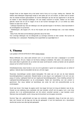Google Fonts en kies degene die je het leukst vindt of die je al in je logo, mailing enz. Gebruikt. We hebben deze lettertypen toegevoegd omdat er veel opties zijn om uit te kiezen, ze laden snel en worden door de meeste browsers geaccepteerd. Er kunnen lettertypen zijn die niet zijn opgenomen in de lijst die we bieden in deze lettertype-instellingen. Om een beetje overzicht te houden, hebben we het meest gebruikt. Aarzel niet om ons te vragen of we er een kunnen toevoegen die u in uw winkel zou willen hebben en staat niet in de lijst.

- Lettertype Speciale kop: kies een lettertype voor alle speciale koppen in het thema. Zoals bijvoorbeeld in de schuifregelaar en op banners.

- Titellettertypen: alle koppen (H1, H2 en H3) houden zich aan het lettertype dat u voor deze instelling kiest.

- Body Fonts: Alle tekst zal het lettertype gebruiken dat je hier kiest.

Voor sommige lettertypen kan de lettergrootte op sommige schermen te klein worden. We kunnen dit handmatig voor u aanpassen. Raadpleeg onze supportdesk op support@crivex.nl

### <span id="page-25-0"></span>1. Thema

Last updated: 2018-04-03T00:40:01.000Z | Online [Version](https://crivex.zendesk.com/hc/en-us/articles/360002650774-1-Thema)

Modus Zelfstudie: als u deze optie activeert, kunt u in uw browser zien waar u wijzigingen in uw winkel kunt aanbrengen. Dit zal u helpen om het thema volledig te ontdekken. We raden u ten zeerste aan om deze optie alleen te gebruiken als uw winkel niet zwaar wordt bezocht, omdat uw klanten ook de opdracht popups op hun scherm kunnen zien.

Ontwikkelaarsmodus: deze functie is voor ons om te gebruiken in geval van aanpassing aan uw winkel of sjabloon. Gebruik deze functionaliteit niet als we u dit niet vragen.

Recensies: beoordelingen worden steeds belangrijker. We raden aan om een van de meer bekende beoordelingsbedrijven te gebruiken. Meestal bieden ze een plug-in voor Lightspeed in de vorm van een popup of overlay. Lightspeed biedt ook een ingebouwd beoordelingssysteem. Deze instelling activeert het Lightspeed-beoordelingssysteem op de productpagina. Nadat een beoordeling voor een product is geschreven. Een nieuw tabblad zal beschikbaar zijn onder het veld met productinformatie op de productpagina.

Scroll naar boven: Hoe langer de pagina wordt, hoe langer het duurt om terug te bladeren naar de top. Hoewel we een plakkerig menu aanbieden dat naar beneden schuift met de pagina, kunt u een knop activeren die in de rechterbenedenhoek van het scherm verschijnt wanneer u naar beneden scrolt. Wanneer erop wordt geklikt, wordt u terug naar de bovenkant van de pagina verzonden.

Nummer Tags: als u gebruikmaakt van tags voor producten, categorieën, blogs of wat dan ook, kunt u laten zien hoeveel van die tags aan die tag zijn gekoppeld. U kunt het deactiveren als u bijvoorbeeld slechts één product aan elke tag hebt gekoppeld.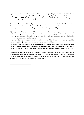Logo: zorg ervoor dat u een logo uploadt met de juiste afmetingen. Vergeet ook niet om de afbeelding te comprimeren alvorens te uploaden. Dit zal u helpen bij de Google Speedtest-controle. Op deze website kunt u JPG- en PNG-afbeeldingen comprimeren. Upload een PNG-afbeelding met een transparante achtergrond. Dit geeft je het beste resultaat.

Favicon: een favicon is het kleine logo dat u aan het begin van uw browserbalk ziet. Het zal u helpen visualiseren welke site welke is. Om een favicon te maken, kun je deze website bezoeken. Je kunt een afbeelding uploaden en het formaat wijzigen in een favicon of je eigen afbeelding tekenen.

Prijsweergave: veel klanten vragen altijd of we veranderingen kunnen aanbrengen in de manier waarop we de prijs weergeven. Nu kunt u dit direct doen! Er worden drie opties gegeven. De eerste toont alleen de prijs op nummer. Geen valutacode van symbool hier. De tweede toont de valutacode na het bedrag. En de derde toont het valutasymbool voor de prijs.

- Als u een B2B-winkel heeft en de B2B-instelling in de hoofdinstellingen van uw Lightspeed-winkel activeert, geeft de prijs het bedrag weer met het voorvoegsel exclusief btw.

- Als uw winkel actief is in Duitsland, moet u de wetgeving in de hoofdinstellingen strikt instellen. Voor elk product moet u een grondprijs identificeren. De gemalen prijs wordt direct onder de werkelijke prijs van het product weergegeven. Bovendien worden de verzendkosten ook zichtbaar binnen het bereik van de prijs.

Verkooplint: we begrijpen dat u wilt dat elk product in de uitverkoop zichtbaar is. Daarom hebben we twee verschillende verkooplinten gemaakt om uit te kiezen. De eerste bedekt de hoek als een echt lint, inclusief een aantal leuke schaduweffecten. De tweede lijkt meer op een ronde stempel in de rechterbovenhoek. Natuurlijk kunt u de kleur ook aanpassen aan uw verkoopstijl.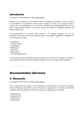### <span id="page-27-0"></span>Introductie

Last updated: 2018-04-03T00:34:07.000Z | Online [Version](https://crivex.zendesk.com/hc/en-us/articles/360002664713-Introductie)

Bedankt voor het installeren van het Elements Theme for Lightspeed E-commerce. Dit is ons 3e thema voor dit platform en we gebruikten al onze eerdere ervaringen en kennis om de perfecte ervaring te creëren voor u als winkeleigenaar en voor uw klanten. We hebben deze handleiding geschreven om u te helpen volledig gebruik te maken van de thema. Laat het ons weten als u problemen ondervindt. We helpen je graag verder.

Het Elements-thema is ons eerste thema waarmee u de volledige startpagina van uw kunt aanpassen winkel. Zoals de naam voor het thema onthult, is deze sjabloon opgebouwd in ELEMENTS. Er zijn er 8 elementen in totaal:

- Schuifelement
- Categorie-element
- Productelement
- Merkelement
- Tag element
- Bannerelement
- Uniek verkooppuntelement

Voor elk element hebt u verschillende opties om te kiezen hoe u het element wilt weergeven. Tenslotte, je kunt de elementen zoals je wilt op de homepagina bestellen via de 6.1 Hompage / Layout instellingen!

### <span id="page-27-1"></span>Documentation (German)

### <span id="page-27-2"></span>5. Elemente

Last updated: 2018-04-03T23:15:20.000Z |Online [Version](https://crivex.zendesk.com/hc/en-us/articles/360002684354-5-Elemente)

Wie in unserer Einführung erläutert, sind die Elemente der interessanteste Teil des Themas. Sie geben Ihnen die Möglichkeit, das perfekte Layout für Ihren Shop zu gestalten und zu erstellen. Jedes Element verfügt über eigene Einstellungen für Inhalt und Anpassung. Es gibt insgesamt 8 Elemente:

- Schieberelement
- Kategorieelement
- Produktelement
- Markenelement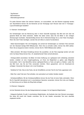- Tag-Element
- Bannerelement
- Alleinstellungsmerkmal

Für jedes Element haben Sie mehrere Optionen, um auszuwählen, wie das Element angezeigt werden soll. Abschließend können Sie die Elemente auf der Homepage nach Wunsch über die 6.1 Hompage / Layout-Einstellungen bestellen!

#### 5.1 Element / Schieberegler

Der Schieberegler wird bei Aktivierung oben in Ihrem Geschäft angezeigt. Das Bild wird sich über die gesamte Breite der Seite erstrecken. Stellen Sie daher sicher, dass Sie die Bilder in den richtigen Abmessungen hochladen. Standardmäßig können Sie im Elements-Design bis zu drei Folien hinzufügen. Wenn Sie mehr Folien benötigen, wenden Sie sich bitte an unseren Kundendienst.

- Slider-Geschwindigkeit: Hier wird festgelegt, wie schnell der Schieberegler zur nächsten Folie wechseln soll. Der Standard beträgt 5000 Millisekunden. Wenn Sie es schneller wollen, können Sie 2500 wählen. Wenn Sie es langsamer ändern möchten, können Sie für 10000 Millisekunden wählen.

- Slide activation: Mit dieser Einstellung können Sie auswählen, ob die Folie angezeigt werden soll oder nicht. Auf diese Weise können Sie z. B. wiederkehrende Folien schnell aktivieren.

- Hintergrundbild verschieben: Da Bilder mit hoher Auflösung von Lightspeed nicht vollständig unterstützt werden, erstellen wir eine Umgehungslösung, um Ihnen die Möglichkeit zu geben, jede Bildgröße hochzuladen. Geh in das Backoffice deines Lightspeed-Stores zu Tools und gehe zu Dateien. Laden Sie das Bild hoch, das Sie als Folie verwenden möchten. Wenn gespeichert, wird ein Download-Link verfügbar. Verwenden Sie diesen Link in der Einstellung.

- Textfarbe für Folie: Dies ist die Farbe, die der Schaltfläche und dem Text für die Folie zugewiesen wird.

- Slide Text: Jede Folie kann Text enthalten, der automatisch auf mobilen Geräten skaliert

- Schiebeschaltfläche: Mit der Schiebeschaltfläche können Sie die Folie mit einer Seite verknüpfen. Wenn Sie Ihr Geschäft international und in verschiedenen Sprachen verwenden, können Sie Links zum Katalog, zur Sammlung und zur Marke der Blog-Seite einfügen.

#### 5.2 Element / Kategorien

Auf der Startseite können Sie das Kategorieelement anzeigen. Es hat folgende Möglichkeiten:

- Kategorie-Kopfzeile: Es gibt 4 verschiedene Möglichkeiten, die Kopfzeile über dem Element anzuzeigen. Der letzte Stil macht den Header unsichtbar. Der für den Header verwendete Text kann ebenfalls angepasst werden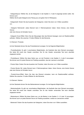- Kategorielayout: Wählen Sie, ob die Kategorien in den Spalten 3, 4 oder 6 angezeigt werden sollen. Sie können auch

Wählen Sie für jede Kategorie eine Füllung aus und geben Sie ihr Whitespace.

- Kategoriestil: Ändern Sie das Aussehen der Kategorien, indem Sie einen von 4 Stilen auswählen von.

- Kategorie Rahmenstil: Jedes Element kann 3 Rahmenoptionen haben. Keine Grenze, eine linierte Grenze

oder eine Grenze mit Schatten herum.

- Kategorie Hover-Effekt: Wenn Sie den Mauszeiger über das Element bewegen, kann ein Reaktionseffekt auftreten. Wählen Sie zwischen 15 tollen Effekten für alle Elemente.

5.3 Element / Produkte

Auf der Startseite können Sie das Produktelement anzeigen. Es hat folgende Möglichkeiten:

- Produktkopfzeile: Es gibt 4 verschiedene Möglichkeiten, die Kopfzeile über dem Element anzuzeigen. Der letzte Stil macht den Header unsichtbar. Der für den Header verwendete Text kann ebenfalls angepasst werden

- Produktlayout: Wählen Sie diese Option aus, um die Produkte in den Spalten 3, 4 oder 6 anzuzeigen. Sie können auch für jedes Element ein Padding auswählen, das den Leerraum umschließt.

- Product Style: Ändern Sie das Aussehen der Produkte, indem Sie einen von 3 Stilen auswählen.

- Product Border Stil: Jedes Element kann 3 Rahmenoptionen haben. Keine Grenze, eine linierte Grenze oder eine Grenze mit Schatten herum.

- Produkt-Hover-Effekt: Wenn Sie über das Element schweben, kann ein Reaktionseffekt auftreten. Wählen Sie zwischen 15 tollen Effekten für alle Elemente.

5.4 Element / Marken

Auf der Startseite können Sie das Markenelement anzeigen. Es hat folgende Möglichkeiten:

- Markenkopfzeile: Es gibt vier verschiedene Möglichkeiten, die Kopfzeile über dem Element anzuzeigen. Der letzte Stil macht den Header unsichtbar. Der für den Header verwendete Text kann ebenfalls angepasst werden

- Markenlayout: Wählen Sie diese Option aus, um die Marken in den Spalten 3, 4, 6 oder 10 anzuzeigen. Sie können auch um jedes Element herum ein Padding auswählen, sodass es Leerzeichen enthält.

- Markenstil: Ändern Sie das Aussehen der Kategorien, indem Sie einen von 4 Stilen auswählen.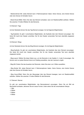- Markenrahmen-Stil: Jedes Element kann 3 Rahmenoptionen haben. Keine Grenze, eine linierte Grenze oder eine Grenze mit Schatten herum.

- Brand-Hover-Effekt: Wenn Sie über das Element schweben, kann ein Reaktionseffekt auftreten. Wählen Sie zwischen 15 tollen Effekten für alle Elemente.

5.5 Element / Tags

Auf der Startseite können Sie das Tag-Element anzeigen. Es hat folgende Möglichkeiten:

- Tag-Kopfzeile: Es gibt 4 verschiedene Möglichkeiten, die Kopfzeile über dem Element anzuzeigen. Der letzte Stil macht den Header unsichtbar. Der für den Header verwendete Text kann ebenfalls angepasst werden.

5.6 Element / Blogs

Auf der Startseite können Sie das Blog-Element anzeigen. Es hat folgende Möglichkeiten:

- Blog-Kopfzeile: Es gibt vier verschiedene Möglichkeiten, die Kopfzeile über dem Element anzuzeigen. Der letzte Stil macht den Header unsichtbar. Der für den Header verwendete Text kann ebenfalls angepasst werden

- Blog-Layout: Wählen Sie diese Option aus, um die Elemente in den Spalten 3, 4 oder 6 anzuzeigen. Sie können auch um jedes Element herum ein Padding auswählen, das den Leerraum umgibt.

- Blog-Stil: Ändern Sie das Aussehen der Elemente, indem Sie einen von 4 Stilen auswählen.

- Blog Border Stil: Jedes Element kann 3 Rahmenoptionen haben. Keine Grenze, eine linierte Grenze oder eine Grenze mit Schatten herum.

- Blog Hover-Effekt: Wenn Sie den Mauszeiger über das Element bewegen, kann ein Reaktionseffekt auftreten. Wählen Sie zwischen 15 tollen Effekten für alle Elemente.

#### 5.7 Element / Banner

Es gibt vier verschiedene Möglichkeiten, das Bannerelement anzuzeigen. Wenn Sie ein Bild als Bannerbild hochladen, aktivieren Sie ein neues Format. Unten sehen Sie die verschiedenen Setups:

- 1 Bild
- 2 Bilder
- 3 Bilder
- 4 Bilder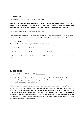### <span id="page-31-0"></span>4. Footer

Last updated: 2018-04-03T23:01:42.000Z |Online [Version](https://crivex.zendesk.com/hc/en-us/articles/360002684134-4-Footer)

Die Fußzeile bedeckt den Boden Ihres Shops. Es enthält das Mail-Abonnement-Formular, Social-Media-Buttons, Links zu formalen Seiten wie zum Beispiel Kunden-Support, Sitemap und einige kurze Informationen zu Ihrem Geschäft. Darunter werden alle verfügbaren Zahlungsoptionen angezeigt.

- Am oberen Rand der Fußzeile erscheinen Kennzeichen.

Fußzeilenstil: Beim Start enthält das Thema nur einen Fußzeilenstil. Wir werden neue Footer Styles über unseren Crivex Newsletter ankündigen. Also, stellen Sie sicher, dass Sie sich auch dafür anmelden!

4.1 Fußzeile / Farbe Sie können die Fußzeile Ihres Shops mit Farben weiter anpassen.

- Fußzeilenhintergrund: Dies ist der Hintergrund der Fußzeile

- Fußtextfarbe: Hier können Sie die Farbe des Textes in der Fußzeile ändern

- Fußzeilen-Hover-Farbe: Wenn Sie über Links in der Fußzeile schweben, werden diese mit dieser Farbe heller.

### <span id="page-31-1"></span>3. Header

Last updated: 2018-04-03T22:55:18.000Z | Online [Version](https://crivex.zendesk.com/hc/en-us/articles/360002683934-3-Header)

Der Header wird oben auf jeder Seite in Ihrem Shop angezeigt. Es ist das gleiche in Ihrem Geschäft und umfasst die Anzeige des Logos, der Währung und der Sprachoptionen, des Warenkorbs und der Suchschaltfläche sowie der Hauptnavigation.

Wir haben nach einer neuen und schlaueren Art gesucht, das Menü anzuzeigen. Da unsere Themen von kleineren Unternehmen mit nicht so vielen Produkten in einigen Kategorien verwendet werden, sowie von Unternehmen, die eine größere Anzahl von Untermenüs benötigen, mussten wir einen Weg finden, damit es für alle funktioniert. Mit Blick auf einige der größten Online-Shops unserer Nation, wie zum Beispiel Amazon von Bol.com, stellten wir fest, dass ein kollabierendes festes Megamenu der richtige Weg war. Da die Navigation im Mittelpunkt unserer Entwürfe steht, haben wir diese Arbeit zuerst gemacht. Nicht nur auf Desktops, sondern auch auf mobilen Geräten.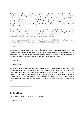Die Speisekarte wird durch eine große Bar dargestellt. Einmal angeklickt, wird das Menü von dort aus kollabieren. Wir haben festgestellt, dass Kunden gerne auf eine Menüleiste klicken. Da dies das Gefühl der Kontrolle über wohin durch den Laden zu suchen auslösen wird. Sobald das Menü geöffnet ist, wird die Megamenu-Struktur dem Benutzer die Möglichkeit geben, alle Kategorien, die der Laden anbietet, auf strukturierte Weise direkt anzuzeigen. Da Seiten länger und länger werden können, haben wir die Navigationsleiste immer oben fixiert. Das gibt dem Benutzer noch mehr Kontrolle und die Möglichkeit, schneller zu surfen.

Header-Stil: Wir haben 4 verschiedene Header zur Auswahl. Machen Sie Ihr Geschäft noch einzigartiger. Um alle verschiedenen Stile zu sehen, können Sie die 4 verschiedenen Presets überprüfen. Sie alle verwenden einen anderen Header-Stil. Die großen Unterschiede liegen in der Darstellung der oberen Leiste, wo Sie mehr Informationen teilen und transparent machen können.

- Wenn Sie die obere Leiste im Menüstil verwenden (Menüstil 3 oder 4). Sie können eine Telefonnummer, eine E-Mail-Adresse und eine Store-Locator-Schaltfläche für Ihr Geschäft eingeben.

#### 3.1 Kopfzeile / Farbe

Hintergrund der oberen Leiste: Wenn Sie die Überschrift 3 oder 4 ausgewählt haben, können Sie auswählen, welche Farbe für die obere Leiste verwendet werden soll. Die Navigationsleiste mit den Schaltflächen Währung und Sprache, Einkaufswagen und Suche ist entweder transparent oder kann in der Farbschemaeinstellung von hell oder dunkel geändert werden. (siehe Einstellung

2.1 Farbschema)

### 3.2 Kopfzeile / Suche

Kunden möchten den Suchknopf in Geschäften verwenden. Weil sie wissen wollen, ob das Produkt, nach dem sie suchen, auch in anderen Farben erhältlich ist oder ob es ergänzende Produkte gibt. In diesen Einstellungen geben wir Ihnen die Möglichkeit, Ihre Kunden zu Produkten zu führen, die Sie sehen möchten. Da sie nach einem bestimmten Produkt suchen, kennen sie möglicherweise nicht andere Produkte, die Sie im Geschäft anbieten. Durch das Einfügen von Suchvorschlägen können Sie dem Kunden helfen, Produkte, Kategorien oder Marken zu entdecken, an die er vielleicht nicht einmal gedacht hat.

### <span id="page-32-0"></span>2. Styling

Last updated: 2018-04-03T01:03:08.000Z |Online [Version](https://crivex.zendesk.com/hc/en-us/articles/360002651134-2-Styling)

2.1 Styling / Schemata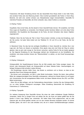Farbschema: Mit dieser Einstellung können Sie das Gesamtbild Ihres Shops direkt in eine helle Farbe, eine dunklere Farbe oder eine Mischung ändern. Dies invertiert grundsätzlich alle Farben in Ihrem Shop. Bereiche, die weiß sind, werden schwarz usw. Beispielsweise neigen Autowerkstätten, Geschäfte für männliche Produkte und Geschäfte, die Uhren verkaufen, dazu, diese Funktion zu verwenden.

#### 2.2 Styling / Farben

Hauptfarbe: Dies ist die Farbe, die Sie überall in Ihrem Geschäft finden können. Wir empfehlen, die Farbe Ihres Logos als Hauptfarbe zu verwenden. Zum Beispiel werden Symbole, Balken und Links diese Farbe beibehalten. Die Hauptfarbe des Mauszeigers ist die Farbe, die beim Schweben über diesen Objekten angezeigt wird.

Titelfarbe: Wenn Sie die Farbe der Titel in Ihrem Thema ändern möchten, ist dies die Einstellung, nach der Sie suchen. Auf jeder Seite ändert sich die Titelfarbe H1, H2 und H3 zu der Farbe, die Sie hier definieren.

In Warenkorb Farbe: Da dies fast die wichtigste Schaltfläche in Ihrem Geschäft ist, möchten Sie in der Lage sein, die Farbe von diesem zu bearbeiten. Einer glaubt, dass eine rote Farbe der Weg ist, andere glauben, dass es grün oder orange ist. Sie können versuchen, welche Farbe für Sie am besten geeignet ist. Die folgende Einstellung für den Mauszeiger definiert den Schattenrand um die Schaltfläche. Wir empfehlen, eine etwas dunklere Version der "Warenkorbfarbe" zu wählen, um den Knopf herausspringen zu lassen.

#### 2.3 Styling / Hintergrund

Hintergrundbild: Als Haupthintergrund können Sie ein Bild anstelle einer Farbe anzeigen lassen. Sie können viele interessante Muster als Hintergrundbild auf dieser Website finden. Geschwindigkeit, ein farbiger Hintergrund lädt schneller in jedem Browser.

- Die Einstellungen darunter helfen Ihnen, das Muster zu zentrieren und zu klonen, so dass es den gesamten Raum Ihres Hintergrunds abdeckt.

- Sie können auch entscheiden, ein Bild in voller Breite hochzuladen. Denken Sie daran, dass größere Bilder die Ladegeschwindigkeit Ihres Geschäfts verlangsamen, während ein Muster kleiner ist und kopiert wird. Komprimieren Sie die hochgeladenen Bilder immer. Auf dieser Website können Sie JPG- und PNG-Bilder komprimieren.

- Wenn Sie ein Bild einfügen, wird die Farbeinstellung überschrieben. Löschen Sie das Hintergrundbild, um nur einen farbigen Hintergrund anzuzeigen. Diese Einstellung überschreibt die Einstellung für Farbschema (2.1 Farbschema).

### 2.4 Styling / Typografie

Zur weiteren Anpassung Ihres Geschäfts können Sie eines der vielen enthaltenen Google Webfonts verwenden. Gehen Sie zu Google Fonts und wählen Sie die, die Ihnen am besten gefällt oder die Sie bereits in Ihrem Logo, Mailing usw. verwenden. Wir haben diese Fonts aufgenommen, weil es viele Optionen gibt, die schnell geladen werden und von den meisten Browsern akzeptiert werden. Es könnte Schriften geben, die nicht in der Liste enthalten sind, die wir in diesen Schriftarteinstellungen anbieten.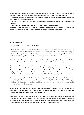Um einen kleinen Überblick zu behalten, haben wir uns am meisten benutzt. Fühlen Sie sich frei, uns zu fragen, ob wir eine, die Sie in Ihrem Geschäft haben möchten, und ist nicht in der Liste enthalten.

- Schrift Sonderüberschrift: Wählen Sie eine Schriftart für alle speziellen Überschriften im Thema. Wie zum Beispiel im Slider und auf Bannern.

- Title Fonts: Alle Header (H1, H2 und H3) entsprechen der Schriftart, die Sie für diese Einstellung auswählen.

- Body Fonts: Der gesamte Text verwendet die Schriftart, die Sie hier auswählen.

Bei einigen Schriftarten könnte die Schriftgröße auf einigen Bildschirmen zu klein werden. Wir können dies manuell für Sie anpassen. Bitte wenden Sie sich an unseren Support unter support@crivex.nl

<span id="page-34-0"></span>1. Thema

Last updated: 2018-04-03T00:42:11.000Z | Online [Version](https://crivex.zendesk.com/hc/en-us/articles/360002650814-1-Thema)

Tutorial-Modus: Wenn Sie diese Option aktivieren, können Sie in Ihrem Browser sehen, wo Sie Änderungen an Ihrem Shop vornehmen können. Dies wird Ihnen helfen, das Thema vollständig zu entdecken. Wir empfehlen dringend, diese Option nur zu verwenden, wenn Ihr Shop nicht sehr besucht ist, da Ihre Kunden möglicherweise auch die Anweisungen auf ihren Bildschirmen sehen.

Entwicklermodus: Diese Funktion wird von uns im Falle einer Anpassung an Ihren Shop oder Ihre Vorlage verwendet. Verwenden Sie diese Funktionalität nicht, wenn wir sie nicht von Ihnen verlangen.

Bewertungen: Bewertungen werden immer wichtiger. Wir schlagen vor, eines der bekannteren Review-Unternehmen zu verwenden. Meistens bieten sie ein Plugin für Lightspeed in Form eines Popups oder Overlays an. Lightspeed bietet auch ein integriertes Review-System. Diese Einstellung aktiviert das Lightspeed-Überprüfungssystem auf der Produktseite. Sobald eine Rezension für ein Produkt geschrieben wurde. Ein neuer Tab wird unter dem Produktinformationsfeld auf der Produktseite verfügbar.

Nach oben scrollen: Je länger die Seite wird, desto länger dauert das Zurückscrollen nach oben. Obwohl wir ein Sticky-Menü anbieten, das mit der Seite nach unten scrollt, können Sie eine Taste aktivieren, die beim Scrollen in der unteren rechten Ecke des Bildschirms erscheint. Wenn Sie darauf klicken, werden Sie zurück zum Anfang der Seite gesendet.

Number Tags: Wenn Sie Tags für Produkte, Kategorien, Blogs oder was auch immer verwenden, können Sie anzeigen, wie viele davon an dieses Tag angehängt sind. Sie können es deaktivieren, wenn Sie beispielsweise nur ein Produkt an jedes Tag angehängt haben.

Logo: Stellen Sie sicher, dass Sie ein Logo mit den richtigen Abmessungen hochladen. Vergessen Sie nicht, das Bild vor dem Hochladen zu komprimieren. Dies hilft Ihnen bei der Google Speedtest-Überprüfung. Auf dieser Website können Sie JPG- und PNG-Bilder komprimieren. Laden Sie ein PNG-Bild mit einem transparenten Hintergrund hoch. Dadurch erhalten Sie das beste Ergebnis.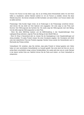Favicon: Ein Favicon ist das kleine Logo, das du am Anfang deiner Browserleiste siehst. Es wird Ihnen helfen zu visualisieren, welcher Standort welcher ist. Um ein Favicon zu erstellen, können Sie diese Website besuchen. Sie können entweder ein Bild hochladen und seine Größe in ein Favicon ändern oder es selbst zeichnen.

Preisanzeige: Viele Kunden fragen immer, ob wir Änderungen in der Preisanzeige vornehmen können. Jetzt können Sie das direkt tun! Drei Optionen sind angegeben. Der erste zeigt nur den Preis nach Nummer. Kein Währungscode des Symbols hier. Die zweite zeigt den Währungscode nach dem Betrag. Und die dritte zeigt das Währungssymbol vor dem Preis.

- Wenn Sie einen B2B-Shop besitzen und die B2B-Einstellung in den Haupteinstellungen Ihres Lightspeed-Shops aktivieren, zeigt der Preis den Betrag mit dem MwSt-Präfix an.

- Wenn Ihr Shop in Deutschland aktiv ist, müssen Sie die Gesetzgebung in den Haupteinstellungen auf streng einstellen. Für jedes Produkt müssen Sie einen Grundpreis angeben. Der Grundpreis wird direkt unter dem tatsächlichen Preis des Produkts angezeigt. Darüber hinaus werden die Versandkosten auch in Reichweite des Preises sichtbar.

Verkaufsband: Wir verstehen, dass Sie möchten, dass jedes Produkt im Verkauf gesehen wird. Daher haben wir zwei verschiedene Verkaufsbänder zur Auswahl gestellt. Das erste deckt die Ecke ab, wie ein echtes Band, einschließlich einiger schöner Schatteneffekte. Der zweite sieht eher wie ein runder Stempel in der oberen rechten Ecke aus. Natürlich können Sie die Farbe auch ändern, um Ihrem Verkaufsstil zu entsprechen.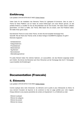### <span id="page-36-0"></span>Einführung

Last updated: 2018-04-03T00:36:27.000Z | Online [Version](https://crivex.zendesk.com/hc/en-us/articles/360002650674-Einf%C3%BChrung)

Vielen Dank für die Installation des Elements Theme für Lightspeed E-Commerce. Dies ist unser 3. Thema für Diese Plattform und wir haben all unsere Erfahrungen und unser Wissen genutzt, um das perfekte Erlebnis zu schaffen für Sie als Shop-Betreiber wie für Ihre Kunden. Wir haben diesen Leitfaden geschrieben, um Ihnen zu helfen, den Thema. Bitte lassen Sie uns wissen, wenn Sie Probleme haben. Wir helfen Ihnen gerne weiter.

Das Elements Theme ist unser erstes Theme, mit dem Sie die komplette Homepage Ihres Geschäft. Wie der Name des Themas verrät, ist diese Vorlage in ELEMENTS aufgebaut. Es gibt 8 Elemente insgesamt:

- Schieberelement
- Kategorieelement
- Produktelement
- Markenelement
- Tag-Element
- Bannerelement
- Alleinstellungsmerkmal

Für jedes Element haben Sie mehrere Optionen, um auszuwählen, wie das Element angezeigt werden soll. Endlich, Sie können die Elemente nach Ihren Wünschen auf der Homepage über die 6.1 Homepage / Layout bestellen die Einstellungen!

### <span id="page-36-1"></span>Documentation (Francais)

### <span id="page-36-2"></span>5. Éléments

Last updated: 2018-04-03T23:14:02.000Z | Online [Version](https://crivex.zendesk.com/hc/en-us/articles/360002704533-5-%C3%89l%C3%A9ments)

Comme expliqué dans notre introduction, les éléments sont la partie la plus intéressante du thème. Ils vous donnent l'occasion de façonner et de construire la mise en page parfaite pour votre magasin. Chaque élément a ses propres paramètres de contenu et d'ajustement. Il y a 8 éléments au total:

- Elément coulissant
- Élément de catégorie
- Elément de produit
- Élément de marque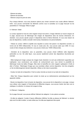- Élément de balise

- Élément de bannière
- Élément unique de point de vente

Pour chaque élément, vous avez plusieurs options pour choisir comment vous voulez afficher l'élément. Enfin, vous pouvez commander les éléments comme vous le souhaitez sur la page d'accueil via les paramètres 6.1 Hompage / Mise en page!

#### 5.1 Elément / Slider

Le curseur apparaît en haut de votre magasin lorsqu'il est activé. L'image s'étendra sur toute la largeur de la page, assurez-vous de télécharger des images de diapositives dans les bonnes dimensions. En standard, vous pouvez ajouter jusqu'à 3 diapositives dans le thème Elements. Si vous avez besoin de plus de diapositives, veuillez consulter notre bureau d'assistance à la personnalisation.

- Vitesse du curseur: définit la rapidité avec laquelle le curseur doit passer à la diapositive suivante. La norme est de 5000 millisecondes. Si vous le voulez plus vite, vous pouvez opter pour 2500. Si vous voulez le faire changer plus lentement, vous pouvez choisir pour 10000 millisecondes.

- Activation de la diapositive: avec ce paramètre, vous pouvez choisir d'afficher cette diapositive particulière ou non. De cette façon, vous pouvez rapidement activer des diapositives récurrentes par exemple.

- Slide background image: puisque les images haute résolution ne sont pas entièrement supportées par Lightspeed, nous construisons une solution de contournement pour vous donner la possibilité de télécharger toutes les tailles d'images. Allez dans le backoffice de votre magasin Lightspeed à Outils et aller à Fichiers. Téléchargez l'image que vous souhaitez utiliser comme diapositive. Une fois enregistré, un lien de téléchargement devient disponible. Utilisez ce lien dans le paramètre.

- Couleur du texte de la diapositive: C'est la couleur donnée au bouton et au texte de la diapositive.

- Slide Text: Chaque diapositive peut contenir du texte qui se redimensionne automatiquement sur les appareils mobiles

- Bouton de diapositive: Avec le bouton de diapositive, vous pouvez lier la diapositive à une page. Lorsque vous utilisez votre magasin à l'international et différentes langues, vous pouvez insérer des liens vers le catalogue, la collection, la marque de la page du blog.

#### 5.2 Élément / Catégories

Sur la page d'accueil, vous pouvez afficher l'élément de catégorie. Il a les options suivantes:

- En-tête de catégorie: Il existe 4 façons différentes d'afficher l'en-tête au-dessus de l'élément. Le dernier style rend l'en-tête invisible. Le texte utilisé pour l'en-tête peut également être ajusté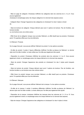- Mise en page de catégorie: Choisissez d'afficher les catégories dans les colonnes de 3, 4 ou 6. Vous pouvez également

choisissez le remplissage autour de chaque catégorie en lui donnant des espaces autour.

- Catégorie Style: Changer l'apparence des catégories en choisissant l'un des 4 styles à choisir de.

- Style de bordure de catégorie: Chaque élément peut avoir 3 options de bordure. Pas de frontière, une bordure bordée

ou une bordure avec une ombre autour.

- Effet Hover de la catégorie: lorsque vous survolez l'élément, un effet réactif peut se produire. Choisissez parmi 15 superbes effets pour tous les éléments.

#### 5.3 Élément / Produits

Sur la page d'accueil, vous pouvez afficher l'élément du produit. Il a les options suivantes:

- En-tête de produit: Il existe 4 façons différentes d'afficher l'en-tête au-dessus de l'élément. Le dernier style rend l'en-tête invisible. Le texte utilisé pour l'en-tête peut également être ajusté

- Disposition du produit: Choisissez d'afficher les produits dans les colonnes 3, 4 ou 6. Vous pouvez également choisir un remplissage autour de chaque élément en lui donnant des espaces.

- Style de produit: Changez l'apparence des produits en choisissant l'un des 3 styles parmi lesquels choisir.

- Style de bordure de produit: Chaque élément peut avoir 3 options de bordure. Pas de frontière, une bordure bordée ou une bordure avec des ombres autour.

- Effet Hover du produit: lorsque vous survolez l'élément, un effet réactif peut se produire. Choisissez parmi 15 superbes effets pour tous les éléments.

#### 5.4 Élément / Marques

Sur la page d'accueil, vous pouvez afficher l'élément de la marque. Il a les options suivantes:

- En-tête de la marque: il existe 4 manières différentes d'afficher l'en-tête au-dessus de l'élément. Le dernier style rend l'en-tête invisible. Le texte utilisé pour l'en-tête peut également être ajusté

- Disposition de la marque: choisissez d'afficher les marques dans les colonnes de 3, 4, 6 ou 10. Vous pouvez également choisir un remplissage autour de chaque élément en lui donnant des espaces.

- Style de marque: Changez l'apparence des catégories en choisissant l'un des 4 styles à choisir.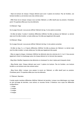- Style de bordure de marque: Chaque élément peut avoir 3 options de bordure. Pas de frontière, une bordure bordée ou une bordure avec des ombres autour.

- Effet Hover de la marque: lorsque vous survolez l'élément, un effet réactif peut se produire. Choisissez parmi 15 superbes effets pour tous les éléments.

#### 5.5 Élément / Tags

Sur la page d'accueil, vous pouvez afficher l'élément de tag. Il a les options suivantes:

- En-tête de balise: Il existe 4 manières différentes d'afficher l'en-tête au-dessus de l'élément. Le dernier style rend l'en-tête invisible. Le texte utilisé pour l'en-tête peut également être ajusté.

#### 5.6 Élément / Blogs

Sur la page d'accueil, vous pouvez afficher l'élément de blog. Il a les options suivantes:

- En-tête du blog: Il y a 4 façons différentes d'afficher l'en-tête au-dessus de l'élément. Le dernier style rend l'en-tête invisible. Le texte utilisé pour l'en-tête peut également être ajusté

- Mise en page du blogue: choisissez d'afficher les éléments dans les colonnes de 3, 4 ou 6. Vous pouvez également choisir le remplissage autour de chaque élément en lui donnant des espaces.

- Blog Style: Modifiez l'apparence des éléments en choisissant l'un des 4 styles parmi lesquels choisir.

- Blog Border style: Chaque élément peut avoir 3 options de bordure. Pas de frontière, une bordure bordée ou une bordure avec des ombres autour.

- Blog Hover effect: Lorsque vous passez la souris sur l'élément, un effet réactif peut se produire. Choisissez parmi 15 superbes effets pour tous les éléments.

#### 5.7 Élément / Bannière

Il existe quatre manières différentes d'afficher l'élément de bannière. Lorsque vous téléchargez une image en tant qu'image de bannière, vous activez un nouveau format. Ci-dessous vous voyez les différentes configurations:

- 1 image
- 2 images
- 3 images
- 4 images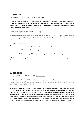### <span id="page-40-0"></span>4. Footer

Last updated: 2018-04-03T23:01:14.000Z | Online [Version](https://crivex.zendesk.com/hc/en-us/articles/360002684094-4-Footer)

Le pied de page couvre le bas de votre boutique. Il comprend le formulaire d'abonnement par courrier électronique, les boutons de médias sociaux, des liens vers des pages formelles comme par exemple le support client, un sitemap et quelques informations sur votre boutique. Ci-dessous, il montrera toutes les options de paiement disponibles.

- Les poinçons apparaissent en haut du pied de page.

Style de pied de page: Au lancement, le thème inclura un seul style de pied de page. Nous annoncerons de nouveaux styles de bas de page dans notre newsletter Crivex. Alors, assurez-vous de vous inscrire aussi!

4.1 Pied de page / Couleur Vous pouvez personnaliser davantage le pied de page de votre boutique avec des couleurs.

- Pied de fond: c'est l'arrière-plan du pied de page

- Couleur du texte du pied de page: Ici vous pouvez changer la couleur du texte dans le pied de page

- Couleur du pied de page: lorsque vous passez la souris sur des liens dans le pied de page, ceux-ci s'éclaircissent avec cette couleur.

### <span id="page-40-1"></span>3. Header

Last updated: 2018-04-03T22:56:13.000Z |Online [Version](https://crivex.zendesk.com/hc/en-us/articles/360002704193-3-Header)

L'en-tête est partiellement affiché en haut de chaque page de votre boutique. Il en va de même dans votre magasin et comprend l'affichage du logo, des options de devise et de langue, du panier et du bouton de recherche et de la navigation principale.

Nous avons cherché une manière nouvelle et plus lisse d'afficher le menu. Étant donné que nos thèmes sont utilisés par de plus petites entreprises avec peu de produits dans quelques catégories ainsi que par des entreprises ayant besoin d'un plus grand nombre de sous-menus, nous devions trouver un moyen de le faire fonctionner pour tout le monde. En regardant certains des plus grands magasins en ligne de notre nation comme par exemple Amazon de Bol.com nous avons pensé qu'un mégamenu fixe effondré était la voie à suivre. Puisque la navigation est au cœur de nos conceptions, nous avons commencé par faire ce travail en premier. Non seulement sur les ordinateurs de bureau, mais aussi sur les appareils mobiles.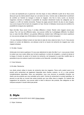Le menu est représenté par un grand bar. Une fois cliqué, le menu s'effondre à partir de là. Nous avons découvert que les clients adorent cliquer sur une barre de menu. Comme cela va déclencher le sentiment de contrôle sur l'endroit où naviguer à travers le magasin. Une fois le menu ouvert, sa structure megamenu donnera à l'utilisateur la possibilité de visualiser directement toutes les catégories que le magasin a à offrir de manière structurée. Puisque les pages peuvent devenir de plus en plus longues, nous avons toujours fixé la barre de navigation en haut. Donner à l'utilisateur encore plus de contrôle et la possibilité de naviguer plus rapidement.

Style d'en-tête: Nous avons inclus 4 en-têtes différents à choisir. Rendre votre magasin encore plus unique. Pour voir tous les différents styles, vous pouvez vérifier les 4 préréglages différents. Ils utilisent tous un style d'en-tête différent. Les grandes différences résident dans l'affichage de la barre supérieure où vous pouvez partager plus d'informations et la possibilité de le rendre transparent.

- Si vous choisissez d'utiliser la barre du haut dans le style de menu (style de menu 3 ou 4). Vous pouvez insérer un numéro de téléphone, une adresse e-mail et un bouton de recherche de magasin pour votre magasin physique.

#### 3.1 En-tête / Couleur

Arrière-plan de la barre supérieure: Si vous avez sélectionné le style d'en-tête 3 ou 4, vous pouvez choisir la couleur que vous voulez utiliser pour la barre supérieure. La barre de navigation, y compris la devise et la langue, le bouton du panier et le bouton de recherche, est transparent ou peut être modifié dans le paramètre du jeu de couleurs à partir de la lumière ou de l'obscurité. (consulter le réglage

#### 2.1 Color Scheme)

### 3.2 En-tête / Recherche

Les clients aiment utiliser le bouton de recherche dans les magasins. Parce qu'ils veulent savoir si le produit qu'ils recherchent est également disponible dans d'autres couleurs, ou s'il y a des produits complémentaires disponibles. Dans ces paramètres, nous vous donnons la possibilité d'orienter vos clients vers les produits que vous souhaitez qu'ils voient. Comme ils recherchent un produit spécifique, ils peuvent ne pas être au courant des autres produits que vous offrez dans le magasin. En insérant des suggestions de recherche, vous pouvez aider le client à découvrir des produits, des catégories ou des marques auxquels il n'aurait même pas pensé.

### <span id="page-41-0"></span>2. Style

Last updated: 2018-04-03T01:04:01.000Z | Online [Version](https://crivex.zendesk.com/hc/en-us/articles/360002664913-2-Style)

2.1 Style / Schémas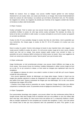Modèle de couleurs: Avec ce réglage, vous pouvez modifier l'aspect général de votre boutique directement en une couleur claire, une couleur plus foncée ou un mixage. Cela inverse fondamentalement toutes les couleurs de votre boutique. Les secteurs qui sont blancs deviendront noirs, etc. Par exemple, les magasins de voitures, les magasins de produits pour hommes et les magasins vendant des montres ont tendance à utiliser cette fonctionnalité.

#### 2.2 Style / Couleurs

Couleur principale: C'est la couleur que vous pouvez trouver partout dans votre magasin. Nous vous conseillons d'utiliser la couleur de votre logo comme couleur principale. Par exemple, les icônes, les barres et les liens vont adhérer à cette couleur. La couleur principale du survol est la couleur qui apparaît en survolant ces éléments.

Couleur du titre: Si vous souhaitez changer la couleur des titres de votre thème, c'est le paramètre que vous recherchez. Sur chaque page, la couleur du titre H1, H2 et H3 passera à la couleur que vous définissez ici.

Dans la couleur du panier: Comme c'est presque le bouton le plus important dans votre magasin, vous voulez pouvoir modifier la couleur de celui-ci. On croit qu'une couleur rouge est la voie à suivre, d'autres croient que c'est vert ou orange. Vous pouvez essayer quelle couleur vous convient le mieux. Le paramètre de survol ci-dessous définit la bordure de l'ombre autour du bouton. Nous vous suggérons de choisir une version plus sombre de la couleur "dans le panier" pour que le bouton sorte.

#### 2.3 Style / arrière-plan

Image d'arrière-plan: en tant qu'arrière-plan principal, vous pouvez choisir d'afficher une image au lieu d'une couleur. Vous pouvez trouver de nombreux modèles intéressants à utiliser comme image de fond sur ce site. En ce qui concerne la vitesse, un fond coloré se chargera plus rapidement dans tous les navigateurs.

- Les réglages en dessous de celui-ci vous aident à centrer et cloner le motif afin qu'il couvre l'espace complet de votre arrière-plan.

- Vous pouvez également décider de télécharger une image pleine largeur. Gardez à l'esprit que les images plus grandes ralentiront la vitesse de chargement de votre magasin alors qu'un motif a une taille plus petite et est copié. Toujours compresser les images que vous téléchargez. Sur ce site, vous pouvez compresser des images JPG et PNG.

- L'insertion d'une image annule le paramètre de couleur. Supprimez l'image d'arrière-plan pour afficher uniquement un arrière-plan coloré. Ce paramètre annule le réglage de colorscheme (2.1 Color Scheme).

### 2.4 Style / Typographie

Pour personnaliser davantage votre magasin, vous pouvez utiliser l'une des nombreuses polices Web de Google incluses. Allez dans Google Fonts et choisissez celui que vous préférez ou que vous utilisez déjà dans votre logo, votre mailing, etc. Nous avons inclus ces polices car il y a beaucoup d'options à choisir, elles se chargent rapidement et sont acceptées par la plupart des navigateurs. Il peut y avoir des polices non incluses dans la liste que nous proposons dans ces paramètres de police. Pour garder un peu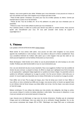d'aperçu, nous avons gardé le plus utilisé. N'hésitez pas à nous demander si nous pouvons en inclure un que vous aimeriez avoir dans votre magasin et qui ne figure pas dans la liste.

- Police En-tête spécial: Choisissez une police pour tous les en-têtes spéciaux du thème. Comme par exemple dans le curseur et sur les bannières.

- Polices de titre: Tous les en-têtes (H1, H2 et H3) adhèrent à la police que vous choisissez pour ce paramètre.

- Polices du corps: Tout le texte utilisera la police que vous choisissez ici.

Pour certaines polices, la taille de la police peut devenir trop petite sur certains écrans. Nous pouvons ajuster cela manuellement pour vous. S'il vous plaît consulter notre bureau de support à support@crivex.nl

### <span id="page-43-0"></span>1. Thème

Last updated: 2018-04-03T00:40:54.000Z | Online [Version](https://crivex.zendesk.com/hc/en-us/articles/360002650794-1-Th%C3%A8me)

Mode tutoriel: Si vous activez cette option, vous pouvez voir dans votre navigateur où vous pouvez apporter des modifications à votre boutique. Cela vous aidera à découvrir le thème complètement. Nous vous conseillons fortement de n'utiliser cette option que si votre magasin n'est pas très visité car vos clients peuvent également voir les fenêtres d'instructions sur leurs écrans.

Mode développeur: Cette fonction est à utiliser en cas de personnalisation de votre boutique ou de votre modèle. N'utilisez pas cette fonctionnalité si nous ne vous le demandons pas.

Avis: Les avis deviennent de plus en plus importants. Nous vous suggérons d'utiliser l'une des sociétés de révision les plus connues. La plupart du temps, ils offrent un plugin pour Lightspeed sous forme de popup ou de superposition. Lightspeed intègre également un système de révision intégré. Ce paramètre active le système de vérification Lightspeed sur la page du produit. Une fois qu'une révision a été écrite pour un produit. Un nouvel onglet sera disponible sous le champ d'information sur le produit sur la page du produit.

Faire défiler vers le haut: Plus la page est longue, plus il faut de temps pour revenir en haut. Même si nous offrons un menu contextuel qui défile avec la page, vous pouvez activer un bouton qui apparaît dans le coin inférieur droit de l'écran lorsque vous faites défiler vers le bas. Une fois cliqué, vous serez renvoyé en haut de la page.

Balises numériques: Si vous utilisez des balises pour des produits, des catégories, des blogs ou autres, vous pouvez indiquer le nombre de balises attachées à cette balise. Vous pouvez le désactiver si vous n'avez par exemple qu'un seul produit associé à chaque tag.

Logo: Assurez-vous de télécharger un logo avec les bonnes dimensions. N'oubliez pas de compresser l'image avant de la télécharger. Cela vous aidera lors de la vérification Google Speedtest. Sur ce site, vous pouvez compresser des images JPG et PNG. Télécharger une image PNG avec un arrière-plan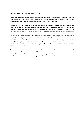transparent. Cela vous donnera le meilleur résultat.

Favicon: Un favicon est le petit logo que vous voyez au début de la barre de votre navigateur. Cela vous aidera à visualiser quel site est lequel. Pour créer une favicon, vous pouvez visiter ce site. Vous pouvez télécharger une image et la redimensionner sur une favicon ou dessiner la vôtre.

Affichage des prix: Beaucoup de clients demandent toujours que nous puissions faire des changements dans la façon dont nous affichons le prix. Maintenant vous pouvez le faire directement! Trois options sont données. Le premier montre seulement le prix par numéro. Aucun code de devise du symbole ici. La seconde montre le code de devise après le montant. Et le troisième montre le symbole monétaire avant le prix.

- Si vous possédez une boutique B2B, et activez le paramètre B2B dans les principaux paramètres de votre boutique Lightspeed, le prix affichera le montant avec le préfixe HT.

- Si votre boutique est active en Allemagne, vous devez définir le paramètre de législation dans les paramètres principaux sur strict. Pour chaque produit, vous devez identifier un prix de base. Le prix de base est affiché directement sous le prix réel du produit. En outre, les frais de port deviendront également visibles à la portée du prix.

Ruban de vente: Nous comprenons que vous voulez voir tous les produits en vente. Par conséquent, nous avons créé deux rubans de vente différents à choisir. Le premier couvre le coin comme un vrai ruban inclut de beaux effets d'ombre. Le second ressemble plus à un tampon rond dans le coin supérieur droit. Bien sûr, vous pouvez également changer la couleur pour correspondre à votre style de vente.